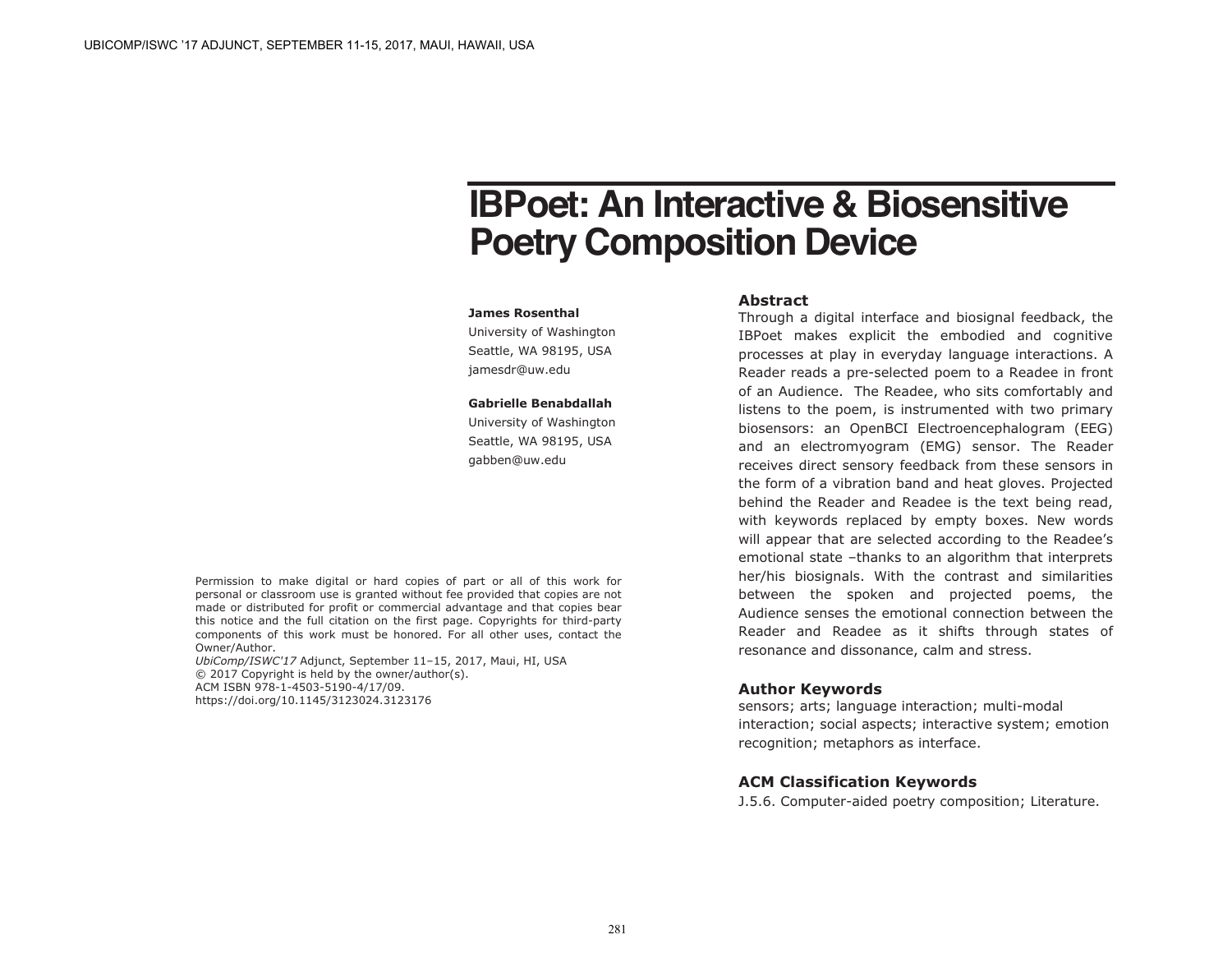# **IBPoet: An Interactive & Biosensitive Poetry Composition Device**

#### **James Rosenthal**

University of Washington Seattle, WA 98195, USA jamesdr@uw.edu

#### **Gabrielle Benabdallah**

University of Washington Seattle, WA 98195, USA gabben@uw.edu

Permission to make digital or hard copies of part or all of this work for personal or classroom use is granted without fee provided that copies are not made or distributed for profit or commercial advantage and that copies bear this notice and the full citation on the first page. Copyrights for third-party components of this work must be honored. For all other uses, contact the Owner/Author.

*UbiComp/ISWC'17* Adjunct, September 11–15, 2017, Maui, HI, USA © 2017 Copyright is held by the owner/author(s). ACM ISBN 978-1-4503-5190-4/17/09. https://doi.org/10.1145/3123024.3123176

#### **Abstract**

Through a digital interface and biosignal feedback, the IBPoet makes explicit the embodied and cognitive processes at play in everyday language interactions. A Reader reads a pre-selected poem to a Readee in front of an Audience. The Readee, who sits comfortably and listens to the poem, is instrumented with two primary biosensors: an OpenBCI Electroencephalogram (EEG) and an electromyogram (EMG) sensor. The Reader receives direct sensory feedback from these sensors in the form of a vibration band and heat gloves. Projected behind the Reader and Readee is the text being read, with keywords replaced by empty boxes. New words will appear that are selected according to the Readee's emotional state –thanks to an algorithm that interprets her/his biosignals. With the contrast and similarities between the spoken and projected poems, the Audience senses the emotional connection between the Reader and Readee as it shifts through states of resonance and dissonance, calm and stress.

## **Author Keywords**

sensors; arts; language interaction; multi-modal interaction; social aspects; interactive system; emotion recognition; metaphors as interface.

# **ACM Classification Keywords**

J.5.6. Computer-aided poetry composition; Literature.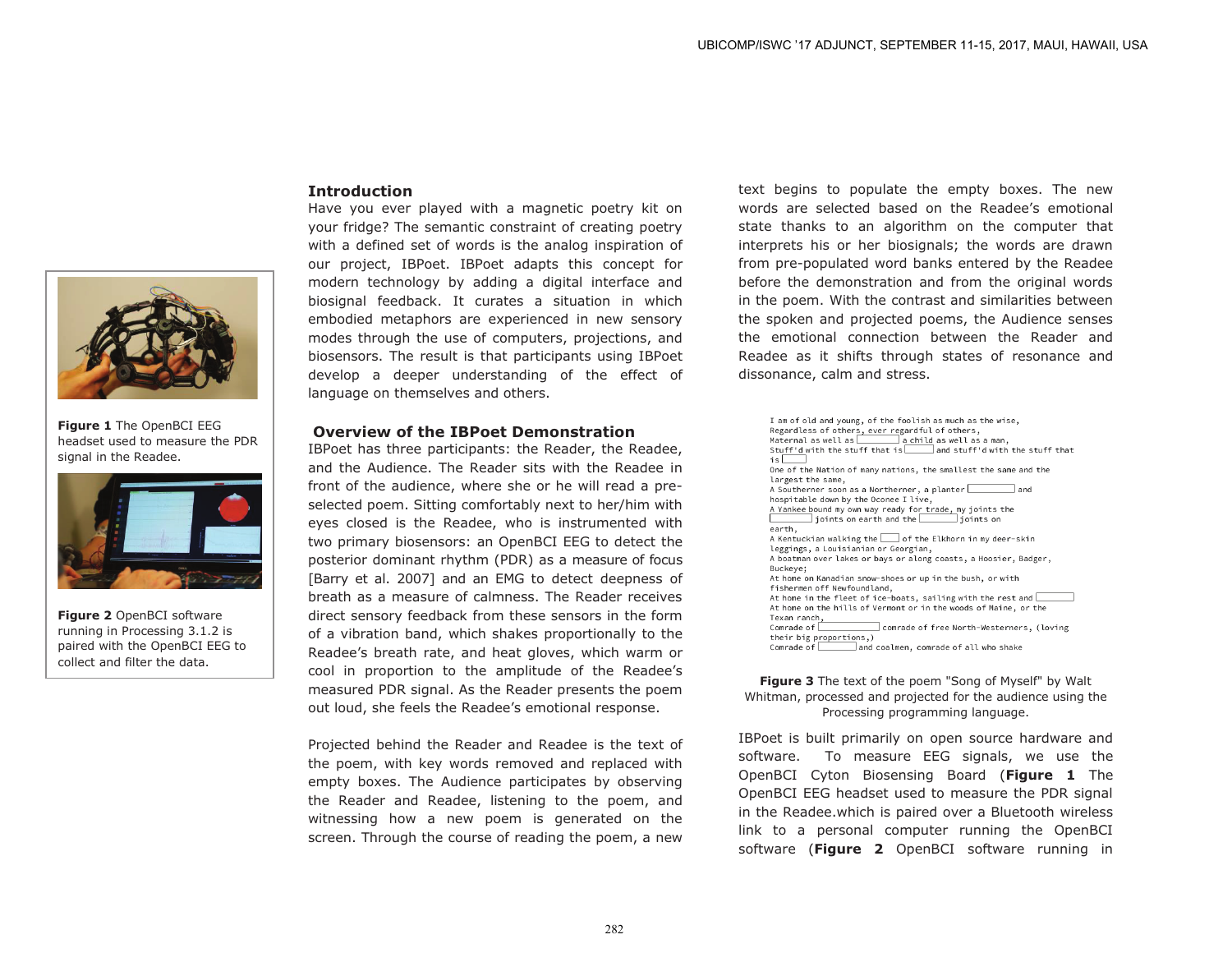

**Figure 1** The OpenBCI EEG headset used to measure the PDR signal in the Readee.



**Figure 2** OpenBCI software running in Processing 3.1.2 is paired with the OpenBCI EEG to collect and filter the data.

# **Introduction**

Have you ever played with a magnetic poetry kit on your fridge? The semantic constraint of creating poetry with a defined set of words is the analog inspiration of our project, IBPoet. IBPoet adapts this concept for modern technology by adding a digital interface and biosignal feedback. It curates a situation in which embodied metaphors are experienced in new sensory modes through the use of computers, projections, and biosensors. The result is that participants using IBPoet develop a deeper understanding of the effect of language on themselves and others.

#### **Overview of the IBPoet Demonstration**

IBPoet has three participants: the Reader, the Readee, and the Audience. The Reader sits with the Readee in front of the audience, where she or he will read a preselected poem. Sitting comfortably next to her/him with eyes closed is the Readee, who is instrumented with two primary biosensors: an OpenBCI EEG to detect the posterior dominant rhythm (PDR) as a measure of focus [Barry et al. 2007] and an EMG to detect deepness of breath as a measure of calmness. The Reader receives direct sensory feedback from these sensors in the form of a vibration band, which shakes proportionally to the Readee's breath rate, and heat gloves, which warm or cool in proportion to the amplitude of the Readee's measured PDR signal. As the Reader presents the poem out loud, she feels the Readee's emotional response.

Projected behind the Reader and Readee is the text of the poem, with key words removed and replaced with empty boxes. The Audience participates by observing the Reader and Readee, listening to the poem, and witnessing how a new poem is generated on the screen. Through the course of reading the poem, a new

text begins to populate the empty boxes. The new words are selected based on the Readee's emotional state thanks to an algorithm on the computer that interprets his or her biosignals; the words are drawn from pre-populated word banks entered by the Readee before the demonstration and from the original words in the poem. With the contrast and similarities between the spoken and projected poems, the Audience senses the emotional connection between the Reader and Readee as it shifts through states of resonance and dissonance, calm and stress.

I am of old and young, of the foolish as much as the wise, Regardless of others, ever regardful of others, Maternal as well as  $\overline{\hspace{1cm}}$  a child as well as a man, Stuff'd with the stuff that is  $\boxed{\qquad}$  and stuff'd with the stuff that  $is$ One of the Nation of many nations, the smallest the same and the largest the same. A Southerner soon as a Northerner, a planter  $\Box$  and hospitable down by the Oconee I live, A Yankee bound my own way ready for trade, my joints the  $\sqrt{1 + \frac{1}{2} \sinh \frac{1}{2} \sinh \frac{1}{2} \sinh \frac{1}{2} \sinh \frac{1}{2} \sinh \frac{1}{2} \sinh \frac{1}{2} \sinh \frac{1}{2} \sinh \frac{1}{2} \sinh \frac{1}{2} \sinh \frac{1}{2} \sinh \frac{1}{2} \sinh \frac{1}{2} \sinh \frac{1}{2} \sinh \frac{1}{2} \sinh \frac{1}{2} \sinh \frac{1}{2} \sinh \frac{1}{2} \sinh \frac{1}{2} \sinh \frac{1}{2} \sinh \frac{1}{2} \sinh \frac{1}{$  $\Box$  ioints on earth. A Kentuckian walking the subset of the Elkhorn in my deer-skin leggings, a Louisianian or Georgian, A boatman over lakes or bays or along coasts, a Hoosier, Badger, Buckeve: At home on Kanadian snow-shoes or up in the bush, or with fishermen off Newfoundland, At home in the fleet of ice-boats, sailing with the rest and  $\square$ At home on the hills of Vermont or in the woods of Maine, or the Texan ranch, Comrade of  $\Box$ comrade of free North-Westerners, (loving their big proportions,) Comrade of and coalmen, comrade of all who shake

#### **Figure 3** The text of the poem "Song of Myself" by Walt Whitman, processed and projected for the audience using the Processing programming language.

IBPoet is built primarily on open source hardware and software. To measure EEG signals, we use the OpenBCI Cyton Biosensing Board (**Figure 1** The OpenBCI EEG headset used to measure the PDR signal in the Readee.which is paired over a Bluetooth wireless link to a personal computer running the OpenBCI software (**Figure 2** OpenBCI software running in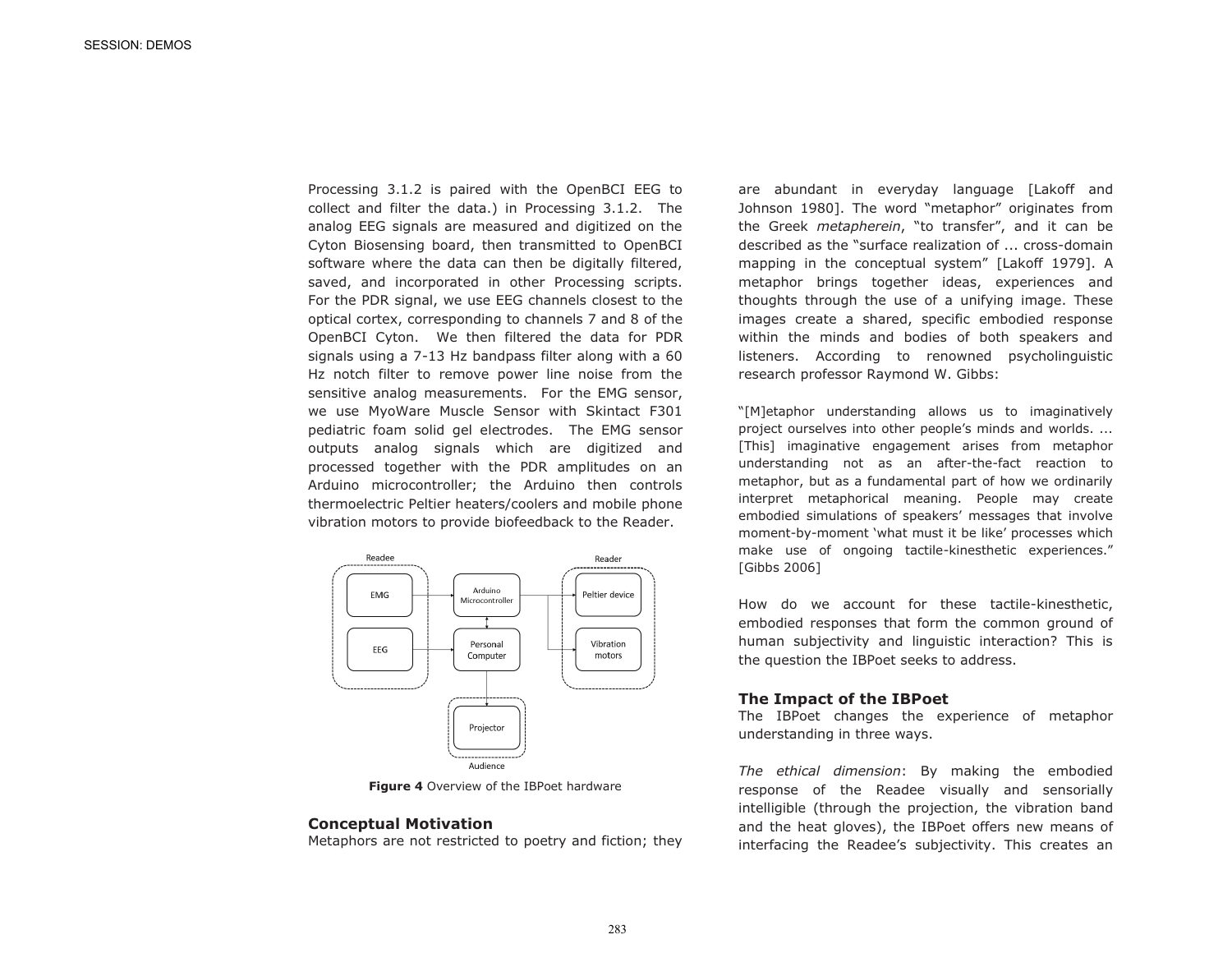Processing 3.1.2 is paired with the OpenBCI EEG to collect and filter the data.) in Processing 3.1.2. The analog EEG signals are measured and digitized on the Cyton Biosensing board, then transmitted to OpenBCI software where the data can then be digitally filtered, saved, and incorporated in other Processing scripts. For the PDR signal, we use EEG channels closest to the optical cortex, corresponding to channels 7 and 8 of the OpenBCI Cyton. We then filtered the data for PDR signals using a 7-13 Hz bandpass filter along with a 60 Hz notch filter to remove power line noise from the sensitive analog measurements. For the EMG sensor, we use MyoWare Muscle Sensor with Skintact F301 pediatric foam solid gel electrodes. The EMG sensor outputs analog signals which are digitized and processed together with the PDR amplitudes on an Arduino microcontroller; the Arduino then controls thermoelectric Peltier heaters/coolers and mobile phone vibration motors to provide biofeedback to the Reader.



**Figure 4** Overview of the IBPoet hardware

#### **Conceptual Motivation**

Metaphors are not restricted to poetry and fiction; they

are abundant in everyday language [Lakoff and Johnson 1980]. The word "metaphor" originates from the Greek *metapherein*, "to transfer", and it can be described as the "surface realization of ... cross-domain mapping in the conceptual system" [Lakoff 1979]. A metaphor brings together ideas, experiences and thoughts through the use of a unifying image. These images create a shared, specific embodied response within the minds and bodies of both speakers and listeners. According to renowned psycholinguistic research professor Raymond W. Gibbs:

"[M]etaphor understanding allows us to imaginatively project ourselves into other people's minds and worlds. ... [This] imaginative engagement arises from metaphor understanding not as an after-the-fact reaction to metaphor, but as a fundamental part of how we ordinarily interpret metaphorical meaning. People may create embodied simulations of speakers' messages that involve moment-by-moment 'what must it be like' processes which make use of ongoing tactile-kinesthetic experiences." [Gibbs 2006]

How do we account for these tactile-kinesthetic, embodied responses that form the common ground of human subjectivity and linguistic interaction? This is the question the IBPoet seeks to address.

#### **The Impact of the IBPoet**

The IBPoet changes the experience of metaphor understanding in three ways.

*The ethical dimension*: By making the embodied response of the Readee visually and sensorially intelligible (through the projection, the vibration band and the heat gloves), the IBPoet offers new means of interfacing the Readee's subjectivity. This creates an